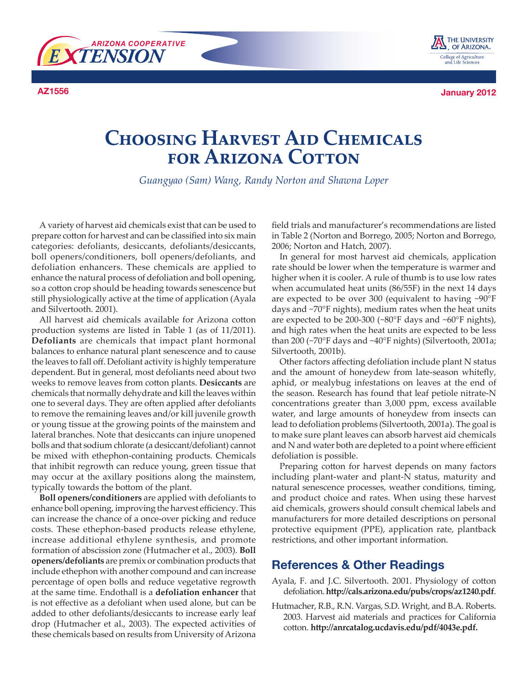



**AZ1556 January 2012**

## **Choosing Harvest Aid Chemicals for Arizona Cotton**

*Guangyao (Sam) Wang, Randy Norton and Shawna Loper*

A variety of harvest aid chemicals exist that can be used to prepare cotton for harvest and can be classified into six main categories: defoliants, desiccants, defoliants/desiccants, boll openers/conditioners, boll openers/defoliants, and defoliation enhancers. These chemicals are applied to enhance the natural process of defoliation and boll opening, so a cotton crop should be heading towards senescence but still physiologically active at the time of application (Ayala and Silvertooth. 2001).

All harvest aid chemicals available for Arizona cotton production systems are listed in Table 1 (as of 11/2011). **Defoliants** are chemicals that impact plant hormonal balances to enhance natural plant senescence and to cause the leaves to fall off. Defoliant activity is highly temperature dependent. But in general, most defoliants need about two weeks to remove leaves from cotton plants. **Desiccants** are chemicals that normally dehydrate and kill the leaves within one to several days. They are often applied after defoliants to remove the remaining leaves and/or kill juvenile growth or young tissue at the growing points of the mainstem and lateral branches. Note that desiccants can injure unopened bolls and that sodium chlorate (a desiccant/defoliant) cannot be mixed with ethephon-containing products. Chemicals that inhibit regrowth can reduce young, green tissue that may occur at the axillary positions along the mainstem, typically towards the bottom of the plant.

**Boll openers/conditioners** are applied with defoliants to enhance boll opening, improving the harvest efficiency. This can increase the chance of a once-over picking and reduce costs. These ethephon-based products release ethylene, increase additional ethylene synthesis, and promote formation of abscission zone (Hutmacher et al., 2003). **Boll openers/defoliants** are premix or combination products that include ethephon with another compound and can increase percentage of open bolls and reduce vegetative regrowth at the same time. Endothall is a **defoliation enhancer** that is not effective as a defoliant when used alone, but can be added to other defoliants/desiccants to increase early leaf drop (Hutmacher et al., 2003). The expected activities of these chemicals based on results from University of Arizona

field trials and manufacturer's recommendations are listed in Table 2 (Norton and Borrego, 2005; Norton and Borrego, 2006; Norton and Hatch, 2007).

In general for most harvest aid chemicals, application rate should be lower when the temperature is warmer and higher when it is cooler. A rule of thumb is to use low rates when accumulated heat units (86/55F) in the next 14 days are expected to be over 300 (equivalent to having ~90°F days and ~70°F nights), medium rates when the heat units are expected to be 200-300 (~80°F days and ~60°F nights), and high rates when the heat units are expected to be less than 200 (~70°F days and ~40°F nights) (Silvertooth, 2001a; Silvertooth, 2001b).

Other factors affecting defoliation include plant N status and the amount of honeydew from late-season whitefly, aphid, or mealybug infestations on leaves at the end of the season. Research has found that leaf petiole nitrate-N concentrations greater than 3,000 ppm, excess available water, and large amounts of honeydew from insects can lead to defoliation problems (Silvertooth, 2001a). The goal is to make sure plant leaves can absorb harvest aid chemicals and N and water both are depleted to a point where efficient defoliation is possible.

Preparing cotton for harvest depends on many factors including plant-water and plant-N status, maturity and natural senescence processes, weather conditions, timing, and product choice and rates. When using these harvest aid chemicals, growers should consult chemical labels and manufacturers for more detailed descriptions on personal protective equipment (PPE), application rate, plantback restrictions, and other important information.

## **References & Other Readings**

- Ayala, F. and J.C. Silvertooth. 2001. Physiology of cotton defoliation. **http://cals.arizona.edu/pubs/crops/az1240.pdf**.
- Hutmacher, R.B., R.N. Vargas, S.D. Wright, and B.A. Roberts. 2003. Harvest aid materials and practices for California cotton. **http://anrcatalog.ucdavis.edu/pdf/4043e.pdf.**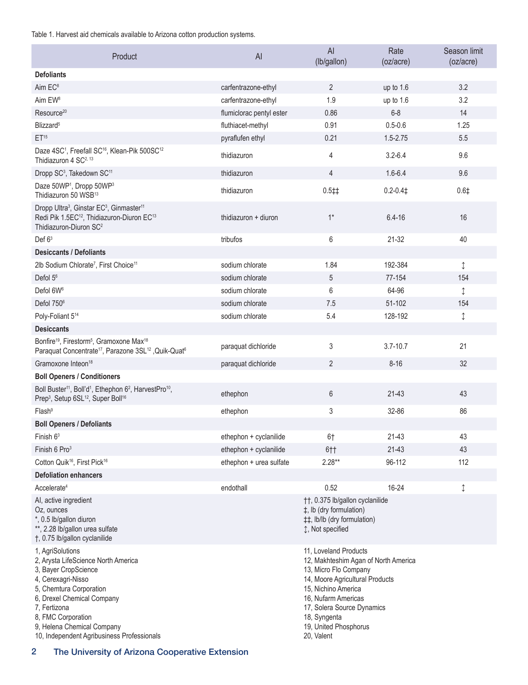Table 1. Harvest aid chemicals available to Arizona cotton production systems.

| Product                                                                                                                                                                                                                                                                          | AI                       | AI<br>(lb/gallon)                                                                                                                                                                                                                                            | Rate<br>(oz/acre) | Season limit<br>(oz/acre) |
|----------------------------------------------------------------------------------------------------------------------------------------------------------------------------------------------------------------------------------------------------------------------------------|--------------------------|--------------------------------------------------------------------------------------------------------------------------------------------------------------------------------------------------------------------------------------------------------------|-------------------|---------------------------|
| <b>Defoliants</b>                                                                                                                                                                                                                                                                |                          |                                                                                                                                                                                                                                                              |                   |                           |
| Aim EC <sup>8</sup>                                                                                                                                                                                                                                                              | carfentrazone-ethyl      | $\overline{2}$                                                                                                                                                                                                                                               | up to 1.6         | 3.2                       |
| Aim EW <sup>8</sup>                                                                                                                                                                                                                                                              | carfentrazone-ethyl      | 1.9                                                                                                                                                                                                                                                          | up to 1.6         | 3.2                       |
| Resource <sup>20</sup>                                                                                                                                                                                                                                                           | flumiclorac pentyl ester | 0.86                                                                                                                                                                                                                                                         | $6 - 8$           | 14                        |
| Blizzard <sup>5</sup>                                                                                                                                                                                                                                                            | fluthiacet-methyl        | 0.91                                                                                                                                                                                                                                                         | $0.5 - 0.6$       | 1.25                      |
| ET <sup>15</sup>                                                                                                                                                                                                                                                                 | pyraflufen ethyl         | 0.21                                                                                                                                                                                                                                                         | $1.5 - 2.75$      | 5.5                       |
| Daze 4SC <sup>1</sup> , Freefall SC <sup>16</sup> , Klean-Pik 500SC <sup>12</sup><br>Thidiazuron 4 SC <sup>2, 13</sup>                                                                                                                                                           | thidiazuron              | 4                                                                                                                                                                                                                                                            | $3.2 - 6.4$       | 9.6                       |
| Dropp SC <sup>3</sup> , Takedown SC <sup>11</sup>                                                                                                                                                                                                                                | thidiazuron              | 4                                                                                                                                                                                                                                                            | $1.6 - 6.4$       | 9.6                       |
| Daze 50WP <sup>1</sup> , Dropp 50WP <sup>3</sup><br>Thidiazuron 50 WSB <sup>13</sup>                                                                                                                                                                                             | thidiazuron              | $0.5 \ddagger \ddagger$                                                                                                                                                                                                                                      | $0.2 - 0.41$      | 0.6 <sup>‡</sup>          |
| Dropp Ultra <sup>3</sup> , Ginstar EC <sup>3</sup> , Ginmaster <sup>11</sup><br>Redi Pik 1.5EC <sup>12</sup> , Thidiazuron-Diuron EC <sup>13</sup><br>Thidiazuron-Diuron SC <sup>2</sup>                                                                                         | thidiazuron + diuron     | $1^*$                                                                                                                                                                                                                                                        | $6.4 - 16$        | 16                        |
| Def 63                                                                                                                                                                                                                                                                           | tribufos                 | 6                                                                                                                                                                                                                                                            | 21-32             | 40                        |
| <b>Desiccants / Defoliants</b>                                                                                                                                                                                                                                                   |                          |                                                                                                                                                                                                                                                              |                   |                           |
| 2lb Sodium Chlorate <sup>7</sup> , First Choice <sup>11</sup>                                                                                                                                                                                                                    | sodium chlorate          | 1.84                                                                                                                                                                                                                                                         | 192-384           | ↨                         |
| Defol 5 <sup>6</sup>                                                                                                                                                                                                                                                             | sodium chlorate          | 5                                                                                                                                                                                                                                                            | 77-154            | 154                       |
| Defol 6W <sup>6</sup>                                                                                                                                                                                                                                                            | sodium chlorate          | 6                                                                                                                                                                                                                                                            | 64-96             | $\updownarrow$            |
| Defol 750 <sup>6</sup>                                                                                                                                                                                                                                                           | sodium chlorate          | 7.5                                                                                                                                                                                                                                                          | 51-102            | 154                       |
| Poly-Foliant 5 <sup>14</sup>                                                                                                                                                                                                                                                     | sodium chlorate          | 5.4                                                                                                                                                                                                                                                          | 128-192           | ↨                         |
| <b>Desiccants</b>                                                                                                                                                                                                                                                                |                          |                                                                                                                                                                                                                                                              |                   |                           |
| Bonfire <sup>19</sup> , Firestorm <sup>5</sup> , Gramoxone Max <sup>18</sup><br>Paraquat Concentrate <sup>17</sup> , Parazone 3SL <sup>12</sup> , Quik-Quat <sup>6</sup>                                                                                                         | paraquat dichloride      | 3                                                                                                                                                                                                                                                            | $3.7 - 10.7$      | 21                        |
| Gramoxone Inteon <sup>18</sup>                                                                                                                                                                                                                                                   | paraquat dichloride      | $\overline{2}$                                                                                                                                                                                                                                               | $8 - 16$          | 32                        |
| <b>Boll Openers / Conditioners</b>                                                                                                                                                                                                                                               |                          |                                                                                                                                                                                                                                                              |                   |                           |
| Boll Buster <sup>11</sup> , Boll'd <sup>1</sup> , Ethephon 6 <sup>2</sup> , HarvestPro <sup>10</sup> ,<br>Prep <sup>3</sup> , Setup 6SL <sup>12</sup> , Super Boll <sup>16</sup>                                                                                                 | ethephon                 | 6                                                                                                                                                                                                                                                            | $21 - 43$         | 43                        |
| Flash <sup>9</sup>                                                                                                                                                                                                                                                               | ethephon                 | 3                                                                                                                                                                                                                                                            | 32-86             | 86                        |
| <b>Boll Openers / Defoliants</b>                                                                                                                                                                                                                                                 |                          |                                                                                                                                                                                                                                                              |                   |                           |
| Finish $63$                                                                                                                                                                                                                                                                      | ethephon + cyclanilide   | 6†                                                                                                                                                                                                                                                           | 21-43             | 43                        |
| Finish 6 Pro <sup>3</sup>                                                                                                                                                                                                                                                        | ethephon + cyclanilide   | 6††                                                                                                                                                                                                                                                          | 21-43             | 43                        |
| Cotton Quik <sup>16</sup> , First Pick <sup>16</sup>                                                                                                                                                                                                                             | ethephon + urea sulfate  | $2.28**$                                                                                                                                                                                                                                                     | 96-112            | 112                       |
| <b>Defoliation enhancers</b>                                                                                                                                                                                                                                                     |                          |                                                                                                                                                                                                                                                              |                   |                           |
| Accelerate <sup>4</sup>                                                                                                                                                                                                                                                          | endothall                | 0.52                                                                                                                                                                                                                                                         | 16-24             | ↨                         |
| Al, active ingredient<br>Oz, ounces<br>*, 0.5 lb/gallon diuron<br>**, 2.28 lb/gallon urea sulfate<br>†, 0.75 lb/gallon cyclanilide                                                                                                                                               |                          | ††, 0.375 lb/gallon cyclanilide<br>‡, lb (dry formulation)<br>##, lb/lb (dry formulation)<br>↓, Not specified                                                                                                                                                |                   |                           |
| 1, AgriSolutions<br>2, Arysta LifeScience North America<br>3, Bayer CropScience<br>4, Cerexagri-Nisso<br>5, Chemtura Corporation<br>6, Drexel Chemical Company<br>7. Fertizona<br>8, FMC Corporation<br>9, Helena Chemical Company<br>10, Independent Agribusiness Professionals |                          | 11, Loveland Products<br>12, Makhteshim Agan of North America<br>13, Micro Flo Company<br>14, Moore Agricultural Products<br>15, Nichino America<br>16, Nufarm Americas<br>17, Solera Source Dynamics<br>18, Syngenta<br>19, United Phosphorus<br>20, Valent |                   |                           |